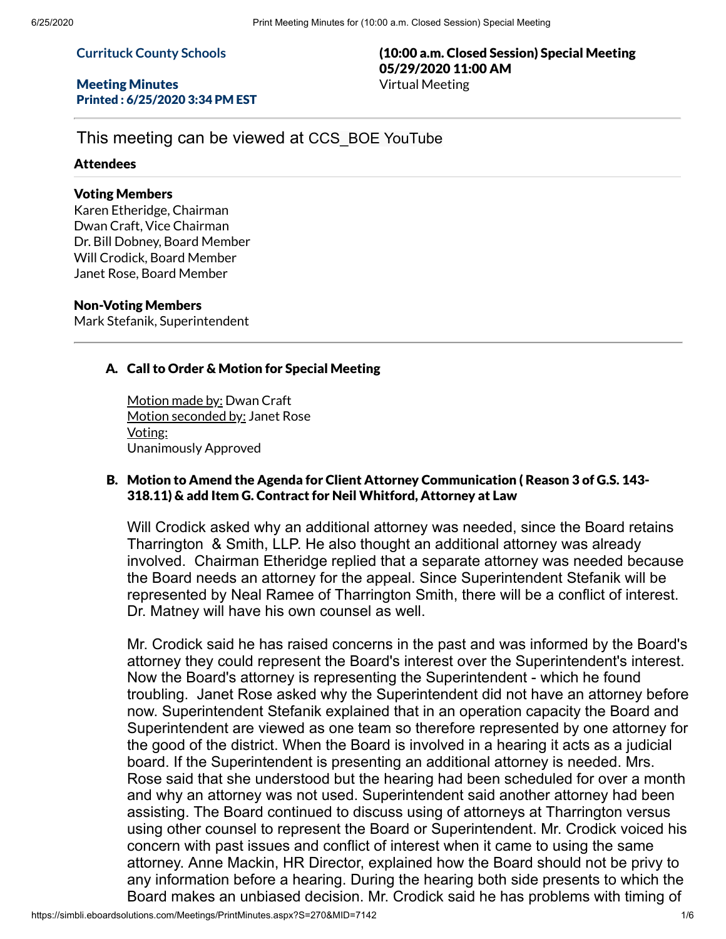### **Currituck County Schools**

#### Meeting Minutes Printed : 6/25/2020 3:34 PM EST

## (10:00 a.m. Closed Session) Special Meeting 05/29/2020 11:00 AM Virtual Meeting

# This meeting can be viewed at CCS\_BOE YouTube

### Attendees

### Voting Members

Karen Etheridge, Chairman Dwan Craft, Vice Chairman Dr. Bill Dobney, Board Member Will Crodick, Board Member Janet Rose, Board Member

#### Non-Voting Members

Mark Stefanik, Superintendent

## A. Call to Order & Motion for Special Meeting

Motion made by: Dwan Craft Motion seconded by: Janet Rose Voting: Unanimously Approved

## B. Motion to Amend the Agenda for Client Attorney Communication ( Reason 3 of G.S. 143- 318.11) & add Item G. Contract for Neil Whitford, Attorney at Law

Will Crodick asked why an additional attorney was needed, since the Board retains Tharrington & Smith, LLP. He also thought an additional attorney was already involved. Chairman Etheridge replied that a separate attorney was needed because the Board needs an attorney for the appeal. Since Superintendent Stefanik will be represented by Neal Ramee of Tharrington Smith, there will be a conflict of interest. Dr. Matney will have his own counsel as well.

Mr. Crodick said he has raised concerns in the past and was informed by the Board's attorney they could represent the Board's interest over the Superintendent's interest. Now the Board's attorney is representing the Superintendent - which he found troubling. Janet Rose asked why the Superintendent did not have an attorney before now. Superintendent Stefanik explained that in an operation capacity the Board and Superintendent are viewed as one team so therefore represented by one attorney for the good of the district. When the Board is involved in a hearing it acts as a judicial board. If the Superintendent is presenting an additional attorney is needed. Mrs. Rose said that she understood but the hearing had been scheduled for over a month and why an attorney was not used. Superintendent said another attorney had been assisting. The Board continued to discuss using of attorneys at Tharrington versus using other counsel to represent the Board or Superintendent. Mr. Crodick voiced his concern with past issues and conflict of interest when it came to using the same attorney. Anne Mackin, HR Director, explained how the Board should not be privy to any information before a hearing. During the hearing both side presents to which the Board makes an unbiased decision. Mr. Crodick said he has problems with timing of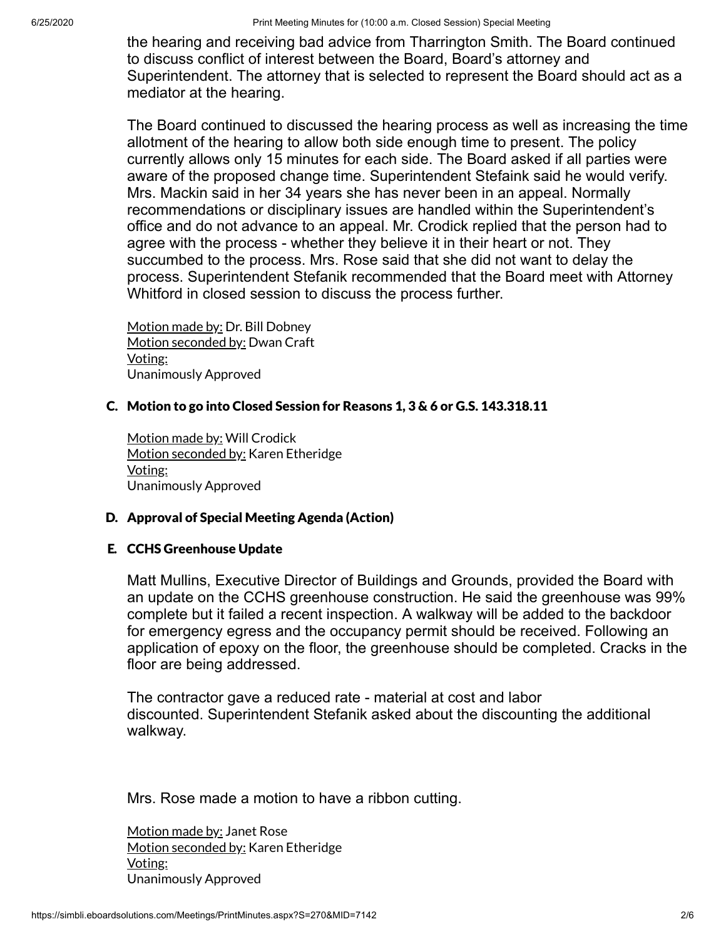the hearing and receiving bad advice from Tharrington Smith. The Board continued to discuss conflict of interest between the Board, Board's attorney and Superintendent. The attorney that is selected to represent the Board should act as a mediator at the hearing.

The Board continued to discussed the hearing process as well as increasing the time allotment of the hearing to allow both side enough time to present. The policy currently allows only 15 minutes for each side. The Board asked if all parties were aware of the proposed change time. Superintendent Stefaink said he would verify. Mrs. Mackin said in her 34 years she has never been in an appeal. Normally recommendations or disciplinary issues are handled within the Superintendent's office and do not advance to an appeal. Mr. Crodick replied that the person had to agree with the process - whether they believe it in their heart or not. They succumbed to the process. Mrs. Rose said that she did not want to delay the process. Superintendent Stefanik recommended that the Board meet with Attorney Whitford in closed session to discuss the process further.

Motion made by: Dr. Bill Dobney Motion seconded by: Dwan Craft Voting: Unanimously Approved

## C. Motion to go into Closed Session for Reasons 1, 3 & 6 or G.S. 143.318.11

Motion made by: Will Crodick Motion seconded by: Karen Etheridge Voting: Unanimously Approved

## D. Approval of Special Meeting Agenda (Action)

## E. CCHS Greenhouse Update

Matt Mullins, Executive Director of Buildings and Grounds, provided the Board with an update on the CCHS greenhouse construction. He said the greenhouse was 99% complete but it failed a recent inspection. A walkway will be added to the backdoor for emergency egress and the occupancy permit should be received. Following an application of epoxy on the floor, the greenhouse should be completed. Cracks in the floor are being addressed.

The contractor gave a reduced rate - material at cost and labor discounted. Superintendent Stefanik asked about the discounting the additional walkway.

Mrs. Rose made a motion to have a ribbon cutting.

Motion made by: Janet Rose Motion seconded by: Karen Etheridge Voting: Unanimously Approved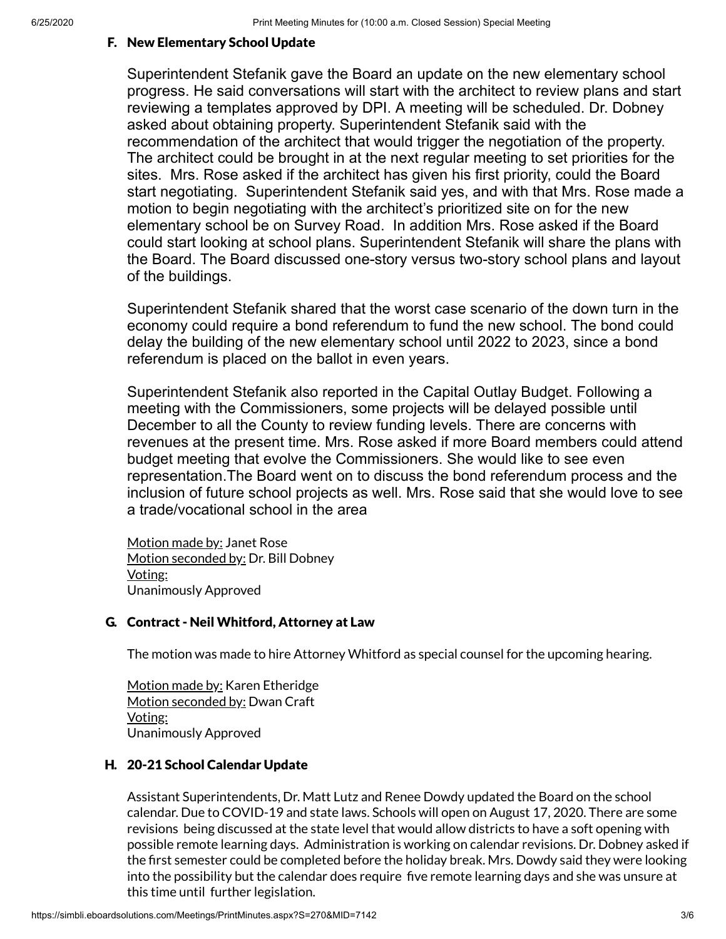## F. New Elementary School Update

Superintendent Stefanik gave the Board an update on the new elementary school progress. He said conversations will start with the architect to review plans and start reviewing a templates approved by DPI. A meeting will be scheduled. Dr. Dobney asked about obtaining property. Superintendent Stefanik said with the recommendation of the architect that would trigger the negotiation of the property. The architect could be brought in at the next regular meeting to set priorities for the sites. Mrs. Rose asked if the architect has given his first priority, could the Board start negotiating. Superintendent Stefanik said yes, and with that Mrs. Rose made a motion to begin negotiating with the architect's prioritized site on for the new elementary school be on Survey Road. In addition Mrs. Rose asked if the Board could start looking at school plans. Superintendent Stefanik will share the plans with the Board. The Board discussed one-story versus two-story school plans and layout of the buildings.

Superintendent Stefanik shared that the worst case scenario of the down turn in the economy could require a bond referendum to fund the new school. The bond could delay the building of the new elementary school until 2022 to 2023, since a bond referendum is placed on the ballot in even years.

Superintendent Stefanik also reported in the Capital Outlay Budget. Following a meeting with the Commissioners, some projects will be delayed possible until December to all the County to review funding levels. There are concerns with revenues at the present time. Mrs. Rose asked if more Board members could attend budget meeting that evolve the Commissioners. She would like to see even representation.The Board went on to discuss the bond referendum process and the inclusion of future school projects as well. Mrs. Rose said that she would love to see a trade/vocational school in the area

Motion made by: Janet Rose Motion seconded by: Dr. Bill Dobney Voting: Unanimously Approved

#### G. Contract - Neil Whitford, Attorney at Law

The motion was made to hire Attorney Whitford as special counsel for the upcoming hearing.

Motion made by: Karen Etheridge Motion seconded by: Dwan Craft Voting: Unanimously Approved

### H. 20-21 School Calendar Update

Assistant Superintendents, Dr. Matt Lutz and Renee Dowdy updated the Board on the school calendar. Due to COVID-19 and state laws. Schools will open on August 17, 2020. There are some revisions being discussed at the state level that would allow districts to have a soft opening with possible remote learning days. Administration is working on calendar revisions. Dr. Dobney asked if the first semester could be completed before the holiday break. Mrs. Dowdy said they were looking into the possibility but the calendar does require five remote learning days and she was unsure at this time until further legislation.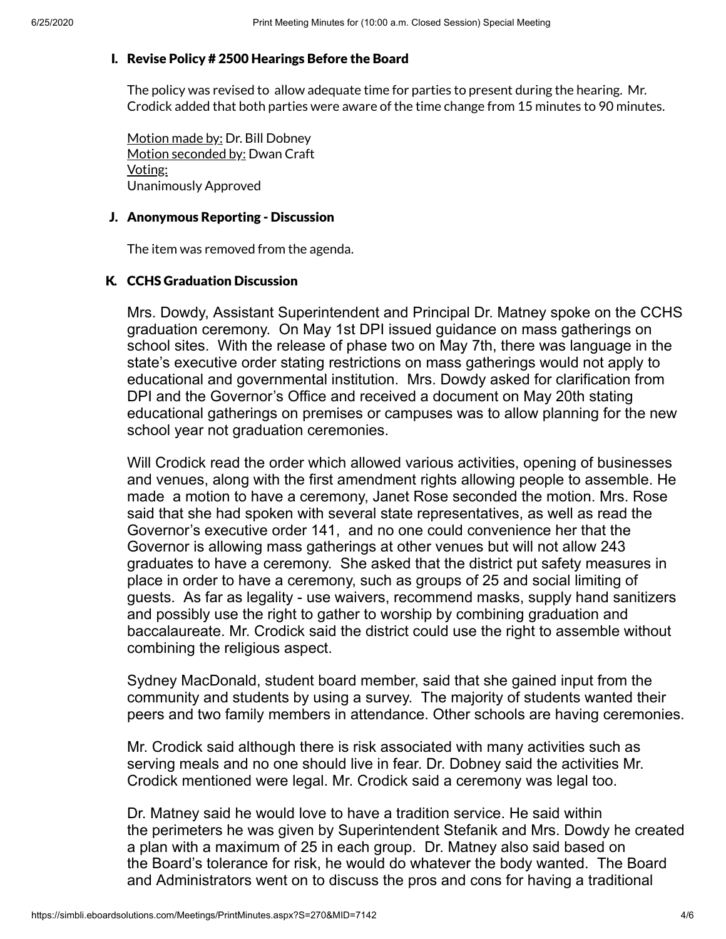### I. Revise Policy # 2500 Hearings Before the Board

The policy was revised to allow adequate time for parties to present during the hearing. Mr. Crodick added that both parties were aware of the time change from 15 minutes to 90 minutes.

Motion made by: Dr. Bill Dobney Motion seconded by: Dwan Craft Voting: Unanimously Approved

### J. Anonymous Reporting - Discussion

The item was removed from the agenda.

## K. CCHS Graduation Discussion

Mrs. Dowdy, Assistant Superintendent and Principal Dr. Matney spoke on the CCHS graduation ceremony. On May 1st DPI issued guidance on mass gatherings on school sites. With the release of phase two on May 7th, there was language in the state's executive order stating restrictions on mass gatherings would not apply to educational and governmental institution. Mrs. Dowdy asked for clarification from DPI and the Governor's Office and received a document on May 20th stating educational gatherings on premises or campuses was to allow planning for the new school year not graduation ceremonies.

Will Crodick read the order which allowed various activities, opening of businesses and venues, along with the first amendment rights allowing people to assemble. He made a motion to have a ceremony, Janet Rose seconded the motion. Mrs. Rose said that she had spoken with several state representatives, as well as read the Governor's executive order 141, and no one could convenience her that the Governor is allowing mass gatherings at other venues but will not allow 243 graduates to have a ceremony. She asked that the district put safety measures in place in order to have a ceremony, such as groups of 25 and social limiting of guests. As far as legality - use waivers, recommend masks, supply hand sanitizers and possibly use the right to gather to worship by combining graduation and baccalaureate. Mr. Crodick said the district could use the right to assemble without combining the religious aspect.

Sydney MacDonald, student board member, said that she gained input from the community and students by using a survey. The majority of students wanted their peers and two family members in attendance. Other schools are having ceremonies.

Mr. Crodick said although there is risk associated with many activities such as serving meals and no one should live in fear. Dr. Dobney said the activities Mr. Crodick mentioned were legal. Mr. Crodick said a ceremony was legal too.

Dr. Matney said he would love to have a tradition service. He said within the perimeters he was given by Superintendent Stefanik and Mrs. Dowdy he created a plan with a maximum of 25 in each group. Dr. Matney also said based on the Board's tolerance for risk, he would do whatever the body wanted. The Board and Administrators went on to discuss the pros and cons for having a traditional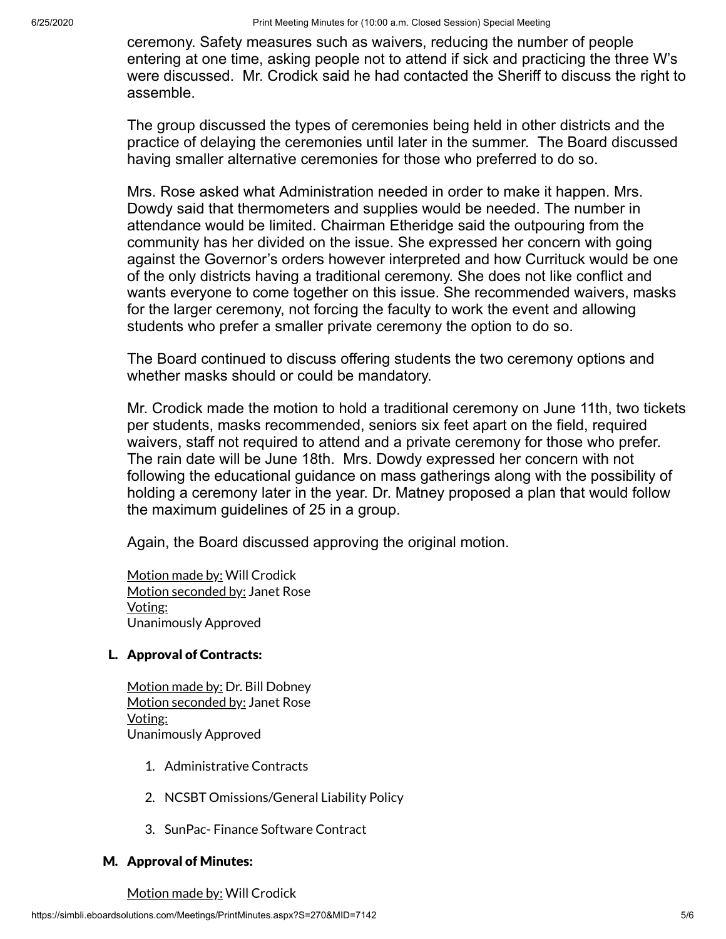ceremony. Safety measures such as waivers, reducing the number of people entering at one time, asking people not to attend if sick and practicing the three W's were discussed. Mr. Crodick said he had contacted the Sheriff to discuss the right to assemble.

The group discussed the types of ceremonies being held in other districts and the practice of delaying the ceremonies until later in the summer. The Board discussed having smaller alternative ceremonies for those who preferred to do so.

Mrs. Rose asked what Administration needed in order to make it happen. Mrs. Dowdy said that thermometers and supplies would be needed. The number in attendance would be limited. Chairman Etheridge said the outpouring from the community has her divided on the issue. She expressed her concern with going against the Governor's orders however interpreted and how Currituck would be one of the only districts having a traditional ceremony. She does not like conflict and wants everyone to come together on this issue. She recommended waivers, masks for the larger ceremony, not forcing the faculty to work the event and allowing students who prefer a smaller private ceremony the option to do so.

The Board continued to discuss offering students the two ceremony options and whether masks should or could be mandatory.

Mr. Crodick made the motion to hold a traditional ceremony on June 11th, two tickets per students, masks recommended, seniors six feet apart on the field, required waivers, staff not required to attend and a private ceremony for those who prefer. The rain date will be June 18th. Mrs. Dowdy expressed her concern with not following the educational guidance on mass gatherings along with the possibility of holding a ceremony later in the year. Dr. Matney proposed a plan that would follow the maximum guidelines of 25 in a group.

Again, the Board discussed approving the original motion.

Motion made by: Will Crodick Motion seconded by: Janet Rose Voting: Unanimously Approved

## L. Approval of Contracts:

Motion made by: Dr. Bill Dobney Motion seconded by: Janet Rose Voting: Unanimously Approved

- 1. Administrative Contracts
- 2. NCSBT Omissions/General Liability Policy
- 3. SunPac- Finance Software Contract

## M. Approval of Minutes:

Motion made by: Will Crodick